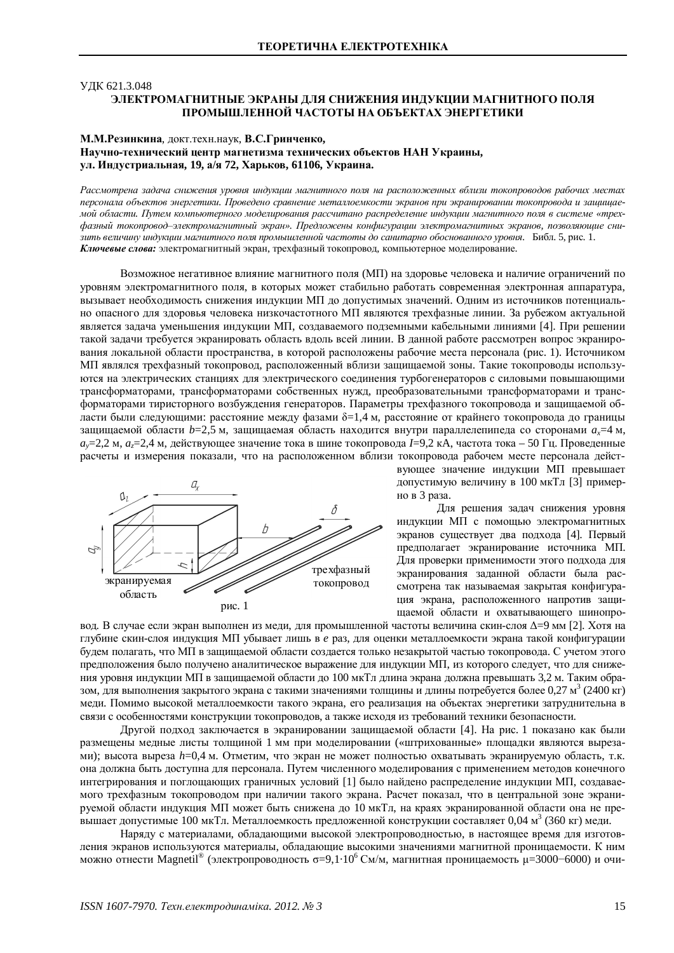## ɍȾɄ 621.3.048 ЭЛЕКТРОМАГНИТНЫЕ ЭКРАНЫ ДЛЯ СНИЖЕНИЯ ИНДУКЦИИ МАГНИТНОГО ПОЛЯ ПРОМЫШЛЕННОЙ ЧАСТОТЫ НА ОБЪЕКТАХ ЭНЕРГЕТИКИ

## М.М.Резинкина, докт.техн.наук, В.С.Гринченко, Научно-технический центр магнетизма технических объектов НАН Украины, VЛ. Индустриальная, 19, а/я 72, Харьков, 61106, Украина.

Рассмотрена задача снижения уровня индукции магнитного поля на расположенных вблизи токопроводов рабочих местах персонала объектов энергетики. Проведено сравнение металлоемкости экранов при экранировании токопровода и защищаемой области. Путем компьютерного моделирования рассчитано распределение индукции магнитного поля в системе «трех- $\phi$ азный токопровод-электромагнитный экран». Предложены конфигурации электромагнитных экранов, позволяющие снизить величину индукции магнитного поля промышленной частоты до санитарно обоснованного уровня. Библ. 5, рис. 1. Ключевые слова: электромагнитный экран, трехфазный токопровод, компьютерное моделирование.

Возможное негативное влияние магнитного поля (МП) на здоровье человека и наличие ограничений по уровням электромагнитного поля, в которых может стабильно работать современная электронная аппаратура, вызывает необходимость снижения индукции МП до допустимых значений. Одним из источников потенциально опасного для здоровья человека низкочастотного МП являются трехфазные линии. За рубежом актуальной является задача уменьшения индукции МП, создаваемого подземными кабельными линиями [4]. При решении такой задачи требуется экранировать область вдоль всей линии. В данной работе рассмотрен вопрос экранирования локальной области пространства, в которой расположены рабочие места персонала (рис. 1). Источником МП являлся трехфазный токопровод, расположенный вблизи защищаемой зоны. Такие токопроводы используются на электрических станциях для электрического соединения турбогенераторов с силовыми повышающими трансформаторами, трансформаторами собственных нужд, преобразовательными трансформаторами и трансформаторами тиристорного возбуждения генераторов. Параметры трехфазного токопровода и защищаемой области были следующими: расстояние между фазами  $\delta=1.4$  м, расстояние от крайнего токопровода до границы защищаемой области *b*=2,5 м, защищаемая область находится внутри параллелепипеда со сторонами a<sub>x</sub>=4 м, *a*<sub>y</sub>=2,2 м, *a*<sub>z</sub>=2,4 м, действующее значение тока в шине токопровода I=9,2 кА, частота тока – 50 Гц. Проведенные расчеты и измерения показали, что на расположенном вблизи токопровода рабочем месте персонала дейст-



вующее значение индукции МП превышает допустимую величину в 100 мкТл [3] примерно в 3 раза.

Для решения залач снижения уровня индукции МП с помощью электромагнитных экранов существует два подхода [4]. Первый предполагает экранирование источника МП. Для проверки применимости этого подхода для экранирования заданной области была рассмотрена так называемая закрытая конфигурация экрана, расположенного напротив защищаемой области и охватывающего шинопро-

вод. В случае если экран выполнен из меди, для промышленной частоты величина скин-слоя Δ=9 мм [2]. Хотя на глубине скин-слоя индукция МП убывает лишь в е раз, для оценки металлоемкости экрана такой конфигурации булем полагать, что МП в зашишаемой области созлается только незакрытой частью токопровола. С учетом этого предположения было получено аналитическое выражение для индукции МП, из которого следует, что для снижения уровня индукции МП в защищаемой области до 100 мкТл длина экрана должна превышать 3,2 м. Таким образом, для выполнения закрытого экрана с такими значениями толщины и длины потребуется более 0,27 м<sup>3</sup> (2400 кг) меди. Помимо высокой металлоемкости такого экрана, его реализация на объектах энергетики затруднительна в связи с особенностями конструкции токопроводов, а также исходя из требований техники безопасности.

Другой подход заключается в экранировании защищаемой области [4]. На рис. 1 показано как были размещены медные листы толщиной 1 мм при моделировании («штрихованные» площадки являются вырезами); высота выреза *h*=0,4 м. Отметим, что экран не может полностью охватывать экранируемую область, т.к. она должна быть доступна для персонала. Путем численного моделирования с применением методов конечного интегрирования и поглощающих граничных условий [1] было найдено распределение индукции МП, создаваемого трехфазным токопроводом при наличии такого экрана. Расчет показал, что в центральной зоне экранируемой области индукция МП может быть снижена до 10 мкТл, на краях экранированной области она не преɜɵɲɚɟɬɞɨɩɭɫɬɢɦɵɟ 100 ɦɤɌɥ. Ɇɟɬɚɥɥɨɟɦɤɨɫɬɶɩɪɟɞɥɨɠɟɧɧɨɣɤɨɧɫɬɪɭɤɰɢɢɫɨɫɬɚɜɥɹɟɬ 0,04 ɦ 3 (360 ɤɝ) ɦɟɞɢ.

Наряду с материалами, обладающими высокой электропроводностью, в настоящее время для изготовления экранов используются материалы, обладающие высокими значениями магнитной проницаемости. К ним можно отнести Magnetil® (электропроводность  $\sigma = 9,1 \cdot 10^6$  См/м, магнитная проницаемость µ=3000-6000) и очи-